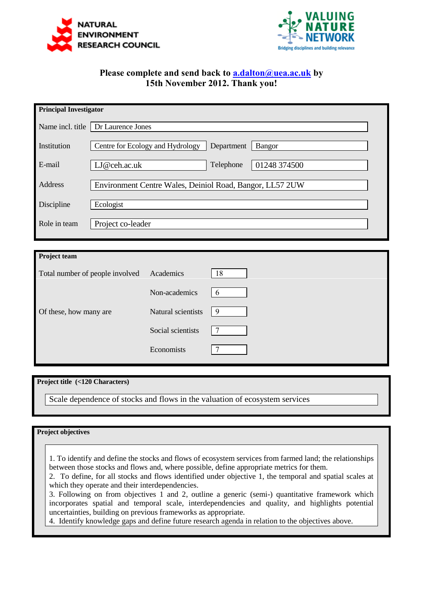



## **Please complete and send back to [a.dalton@uea.ac.uk](mailto:a.dalton@uea.ac.uk) by 15th November 2012. Thank you!**

| <b>Principal Investigator</b> |                                                          |  |  |  |
|-------------------------------|----------------------------------------------------------|--|--|--|
| Name incl. title              | Dr Laurence Jones                                        |  |  |  |
| Institution                   | Centre for Ecology and Hydrology<br>Bangor<br>Department |  |  |  |
| E-mail                        | 01248 374500<br>LJ@ceh.ac.uk<br>Telephone                |  |  |  |
| Address                       | Environment Centre Wales, Deiniol Road, Bangor, LL57 2UW |  |  |  |
| Discipline                    | Ecologist                                                |  |  |  |
| Role in team                  | Project co-leader                                        |  |  |  |
|                               |                                                          |  |  |  |
|                               |                                                          |  |  |  |

| <b>Project team</b>             |                    |             |  |  |
|---------------------------------|--------------------|-------------|--|--|
| Total number of people involved | Academics          | 18          |  |  |
|                                 | Non-academics      | $\mathbf b$ |  |  |
| Of these, how many are          | Natural scientists | -9          |  |  |
|                                 | Social scientists  |             |  |  |
|                                 | Economists         |             |  |  |

**Project title (<120 Characters)**

Scale dependence of stocks and flows in the valuation of ecosystem services

## **Project objectives**

1. To identify and define the stocks and flows of ecosystem services from farmed land; the relationships between those stocks and flows and, where possible, define appropriate metrics for them.

2. To define, for all stocks and flows identified under objective 1, the temporal and spatial scales at which they operate and their interdependencies.

3. Following on from objectives 1 and 2, outline a generic (semi-) quantitative framework which incorporates spatial and temporal scale, interdependencies and quality, and highlights potential uncertainties, building on previous frameworks as appropriate.

4. Identify knowledge gaps and define future research agenda in relation to the objectives above.